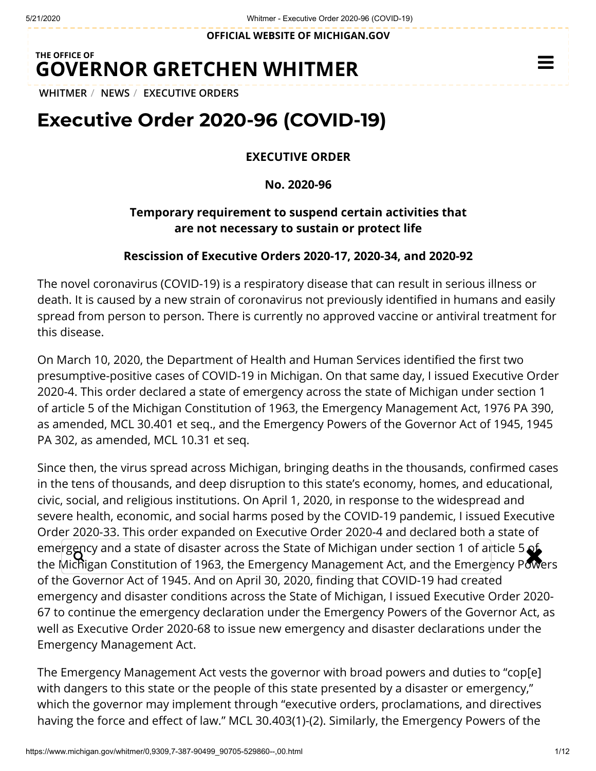**OFFICIAL WEBSITE OF [MICHIGAN.GOV](https://www.michigan.gov/)**

### **THE OFFICE OF GOVERNOR [GRETCHEN WHITMER](https://www.michigan.gov/whitmer/)**

**[WHITMER](https://www.michigan.gov/whitmer/)** / **[NEWS](https://www.michigan.gov/whitmer/0,9309,7-387-90499---,00.html)** / **[EXECUTIVE ORDERS](https://www.michigan.gov/whitmer/0,9309,7-387-90499_90705---,00.html)**

# **Executive Order 2020-96 (COVID-19)**

#### **EXECUTIVE ORDER**

**No. 2020-96**

### **Temporary requirement to suspend certain activities that are not necessary to sustain or protect life**

#### **Rescission of Executive Orders 2020-17, 2020-34, and 2020-92**

The novel coronavirus (COVID-19) is a respiratory disease that can result in serious illness or death. It is caused by a new strain of coronavirus not previously identified in humans and easily spread from person to person. There is currently no approved vaccine or antiviral treatment for this disease.

On March 10, 2020, the Department of Health and Human Services identified the first two presumptive-positive cases of COVID-19 in Michigan. On that same day, I issued Executive Order 2020-4. This order declared a state of emergency across the state of Michigan under section 1 of article 5 of the Michigan Constitution of 1963, the Emergency Management Act, 1976 PA 390, as amended, MCL 30.401 et seq., and the Emergency Powers of the Governor Act of 1945, 1945 PA 302, as amended, MCL 10.31 et seq.

Since then, the virus spread across Michigan, bringing deaths in the thousands, confirmed cases in the tens of thousands, and deep disruption to this state's economy, homes, and educational, civic, social, and religious institutions. On April 1, 2020, in response to the widespread and severe health, economic, and social harms posed by the COVID-19 pandemic, I issued Executive Order 2020-33. This order expanded on Executive Order 2020-4 and declared both a state of emergency and a state of disaster across the State of Michigan under section 1 of article 5 of emergency and a state of disaster across the State of Michigan under section 1 of article 5 of.<br>the Michigan Constitution of 1963, the Emergency Management Act, and the Emergency Powers of the Governor Act of 1945. And on April 30, 2020, finding that COVID-19 had created emergency and disaster conditions across the State of Michigan, I issued Executive Order 2020- 67 to continue the emergency declaration under the Emergency Powers of the Governor Act, as well as Executive Order 2020-68 to issue new emergency and disaster declarations under the Emergency Management Act.

The Emergency Management Act vests the governor with broad powers and duties to "cop[e] with dangers to this state or the people of this state presented by a disaster or emergency," which the governor may implement through "executive orders, proclamations, and directives having the force and effect of law." MCL 30.403(1)-(2). Similarly, the Emergency Powers of the

 $\equiv$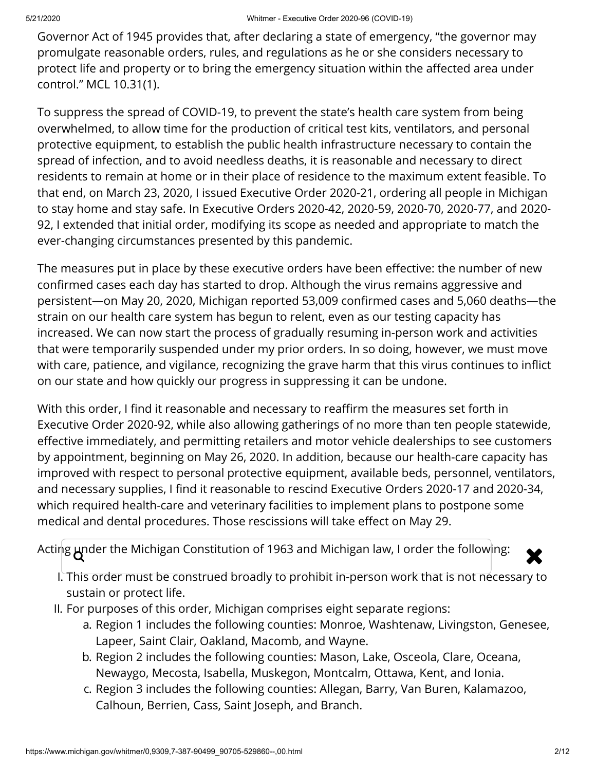Governor Act of 1945 provides that, after declaring a state of emergency, "the governor may promulgate reasonable orders, rules, and regulations as he or she considers necessary to protect life and property or to bring the emergency situation within the affected area under control." MCL 10.31(1).

To suppress the spread of COVID-19, to prevent the state's health care system from being overwhelmed, to allow time for the production of critical test kits, ventilators, and personal protective equipment, to establish the public health infrastructure necessary to contain the spread of infection, and to avoid needless deaths, it is reasonable and necessary to direct residents to remain at home or in their place of residence to the maximum extent feasible. To that end, on March 23, 2020, I issued Executive Order 2020-21, ordering all people in Michigan to stay home and stay safe. In Executive Orders 2020-42, 2020-59, 2020-70, 2020-77, and 2020- 92, I extended that initial order, modifying its scope as needed and appropriate to match the ever-changing circumstances presented by this pandemic.

The measures put in place by these executive orders have been effective: the number of new confirmed cases each day has started to drop. Although the virus remains aggressive and persistent—on May 20, 2020, Michigan reported 53,009 confirmed cases and 5,060 deaths—the strain on our health care system has begun to relent, even as our testing capacity has increased. We can now start the process of gradually resuming in-person work and activities that were temporarily suspended under my prior orders. In so doing, however, we must move with care, patience, and vigilance, recognizing the grave harm that this virus continues to inflict on our state and how quickly our progress in suppressing it can be undone.

With this order, I find it reasonable and necessary to reaffirm the measures set forth in Executive Order 2020-92, while also allowing gatherings of no more than ten people statewide, effective immediately, and permitting retailers and motor vehicle dealerships to see customers by appointment, beginning on May 26, 2020. In addition, because our health-care capacity has improved with respect to personal protective equipment, available beds, personnel, ventilators, and necessary supplies, I find it reasonable to rescind Executive Orders 2020-17 and 2020-34, which required health-care and veterinary facilities to implement plans to postpone some medical and dental procedures. Those rescissions will take effect on May 29.

Acting under the Michigan Constitution of 1963 and Michigan law, I order the following:  $\bigotimes$ 



- I. This order must be construed broadly to prohibit in-person work that is not necessary to sustain or protect life.
- II. For purposes of this order, Michigan comprises eight separate regions:
	- a. Region 1 includes the following counties: Monroe, Washtenaw, Livingston, Genesee, Lapeer, Saint Clair, Oakland, Macomb, and Wayne.
	- b. Region 2 includes the following counties: Mason, Lake, Osceola, Clare, Oceana, Newaygo, Mecosta, Isabella, Muskegon, Montcalm, Ottawa, Kent, and Ionia.
	- c. Region 3 includes the following counties: Allegan, Barry, Van Buren, Kalamazoo, Calhoun, Berrien, Cass, Saint Joseph, and Branch.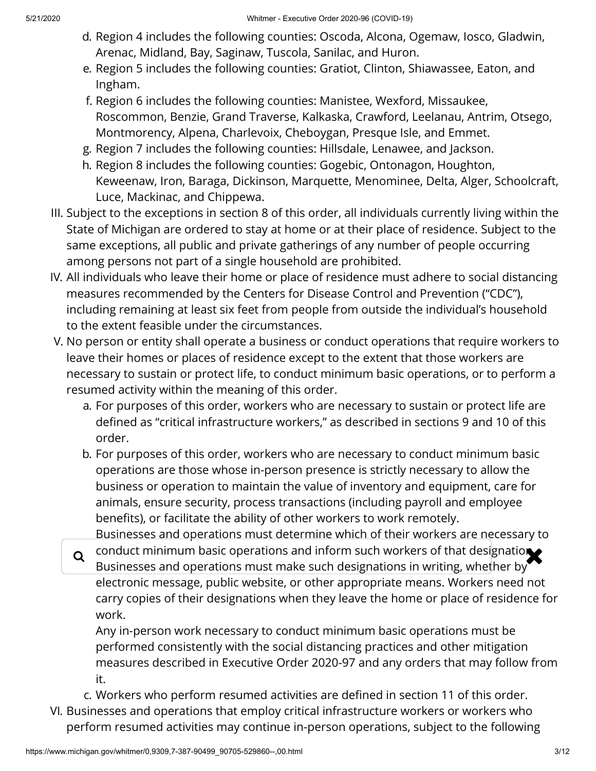- d. Region 4 includes the following counties: Oscoda, Alcona, Ogemaw, Iosco, Gladwin, Arenac, Midland, Bay, Saginaw, Tuscola, Sanilac, and Huron.
- e. Region 5 includes the following counties: Gratiot, Clinton, Shiawassee, Eaton, and Ingham.
- f. Region 6 includes the following counties: Manistee, Wexford, Missaukee, Roscommon, Benzie, Grand Traverse, Kalkaska, Crawford, Leelanau, Antrim, Otsego, Montmorency, Alpena, Charlevoix, Cheboygan, Presque Isle, and Emmet.
- g. Region 7 includes the following counties: Hillsdale, Lenawee, and Jackson.
- h. Region 8 includes the following counties: Gogebic, Ontonagon, Houghton, Keweenaw, Iron, Baraga, Dickinson, Marquette, Menominee, Delta, Alger, Schoolcraft, Luce, Mackinac, and Chippewa.
- III. Subject to the exceptions in section 8 of this order, all individuals currently living within the State of Michigan are ordered to stay at home or at their place of residence. Subject to the same exceptions, all public and private gatherings of any number of people occurring among persons not part of a single household are prohibited.
- IV. All individuals who leave their home or place of residence must adhere to social distancing measures recommended by the Centers for Disease Control and Prevention ("CDC"), including remaining at least six feet from people from outside the individual's household to the extent feasible under the circumstances.
- V. No person or entity shall operate a business or conduct operations that require workers to leave their homes or places of residence except to the extent that those workers are necessary to sustain or protect life, to conduct minimum basic operations, or to perform a resumed activity within the meaning of this order.
	- a. For purposes of this order, workers who are necessary to sustain or protect life are defined as "critical infrastructure workers," as described in sections 9 and 10 of this order.
	- b. For purposes of this order, workers who are necessary to conduct minimum basic operations are those whose in-person presence is strictly necessary to allow the business or operation to maintain the value of inventory and equipment, care for animals, ensure security, process transactions (including payroll and employee benefits), or facilitate the ability of other workers to work remotely. Businesses and operations must determine which of their workers are necessary to
	- q conduct minimum basic operations and inform such workers of that designation. Businesses and operations must make such designations in writing, whether by electronic message, public website, or other appropriate means. Workers need not carry copies of their designations when they leave the home or place of residence for work.

Any in-person work necessary to conduct minimum basic operations must be performed consistently with the social distancing practices and other mitigation measures described in Executive Order 2020-97 and any orders that may follow from it.

- c. Workers who perform resumed activities are defined in section 11 of this order.
- VI. Businesses and operations that employ critical infrastructure workers or workers who perform resumed activities may continue in-person operations, subject to the following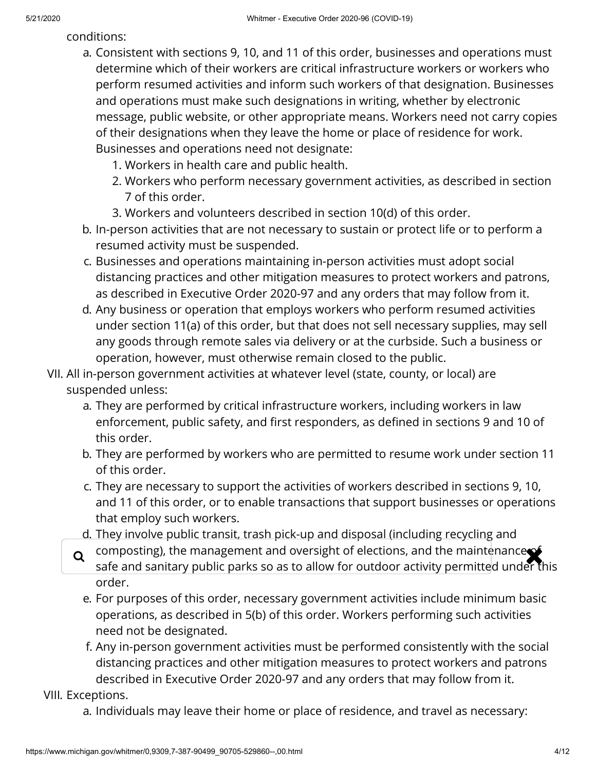conditions:

- a. Consistent with sections 9, 10, and 11 of this order, businesses and operations must determine which of their workers are critical infrastructure workers or workers who perform resumed activities and inform such workers of that designation. Businesses and operations must make such designations in writing, whether by electronic message, public website, or other appropriate means. Workers need not carry copies of their designations when they leave the home or place of residence for work. Businesses and operations need not designate:
	- 1. Workers in health care and public health.
	- 2. Workers who perform necessary government activities, as described in section 7 of this order.
	- 3. Workers and volunteers described in section 10(d) of this order.
- b. In-person activities that are not necessary to sustain or protect life or to perform a resumed activity must be suspended.
- c. Businesses and operations maintaining in-person activities must adopt social distancing practices and other mitigation measures to protect workers and patrons, as described in Executive Order 2020-97 and any orders that may follow from it.
- d. Any business or operation that employs workers who perform resumed activities under section 11(a) of this order, but that does not sell necessary supplies, may sell any goods through remote sales via delivery or at the curbside. Such a business or operation, however, must otherwise remain closed to the public.
- VII. All in-person government activities at whatever level (state, county, or local) are suspended unless:
	- a. They are performed by critical infrastructure workers, including workers in law enforcement, public safety, and first responders, as defined in sections 9 and 10 of this order.
	- b. They are performed by workers who are permitted to resume work under section 11 of this order.
	- c. They are necessary to support the activities of workers described in sections 9, 10, and 11 of this order, or to enable transactions that support businesses or operations that employ such workers.
	- d. They involve public transit, trash pick-up and disposal (including recycling and
	- composting), the management and oversight of elections, and the maintenance of<br>safe and sanitary public parks so as to allow for outdoor activity permitted under the safe and sanitary public parks so as to allow for outdoor activity permitted under this order.
		- e. For purposes of this order, necessary government activities include minimum basic operations, as described in 5(b) of this order. Workers performing such activities need not be designated.
		- f. Any in-person government activities must be performed consistently with the social distancing practices and other mitigation measures to protect workers and patrons described in Executive Order 2020-97 and any orders that may follow from it.

VIII. Exceptions.

a. Individuals may leave their home or place of residence, and travel as necessary: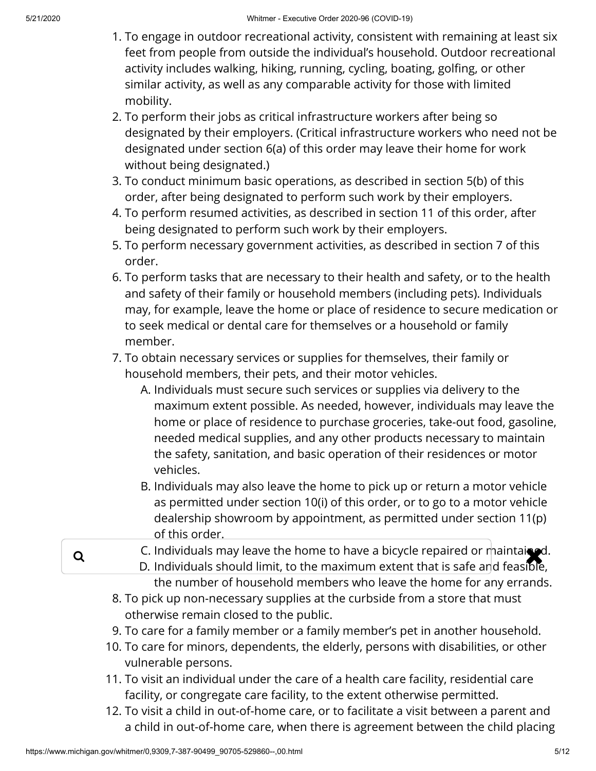- 1. To engage in outdoor recreational activity, consistent with remaining at least six feet from people from outside the individual's household. Outdoor recreational activity includes walking, hiking, running, cycling, boating, golfing, or other similar activity, as well as any comparable activity for those with limited mobility.
- 2. To perform their jobs as critical infrastructure workers after being so designated by their employers. (Critical infrastructure workers who need not be designated under section 6(a) of this order may leave their home for work without being designated.)
- 3. To conduct minimum basic operations, as described in section 5(b) of this order, after being designated to perform such work by their employers.
- 4. To perform resumed activities, as described in section 11 of this order, after being designated to perform such work by their employers.
- 5. To perform necessary government activities, as described in section 7 of this order.
- 6. To perform tasks that are necessary to their health and safety, or to the health and safety of their family or household members (including pets). Individuals may, for example, leave the home or place of residence to secure medication or to seek medical or dental care for themselves or a household or family member.
- 7. To obtain necessary services or supplies for themselves, their family or household members, their pets, and their motor vehicles.
	- A. Individuals must secure such services or supplies via delivery to the maximum extent possible. As needed, however, individuals may leave the home or place of residence to purchase groceries, take-out food, gasoline, needed medical supplies, and any other products necessary to maintain the safety, sanitation, and basic operation of their residences or motor vehicles.
	- B. Individuals may also leave the home to pick up or return a motor vehicle as permitted under section 10(i) of this order, or to go to a motor vehicle dealership showroom by appointment, as permitted under section 11(p) of this order.
- C. Individuals may leave the home to have a bicycle repaired or maintained.<br>D. Individuals should limit, to the maximum extent that is safe and feasible D. Individuals should limit, to the maximum extent that is safe and feasible, the number of household members who leave the home for any errands.
	- 8. To pick up non-necessary supplies at the curbside from a store that must otherwise remain closed to the public.
	- 9. To care for a family member or a family member's pet in another household.
	- 10. To care for minors, dependents, the elderly, persons with disabilities, or other vulnerable persons.
	- 11. To visit an individual under the care of a health care facility, residential care facility, or congregate care facility, to the extent otherwise permitted.
	- 12. To visit a child in out-of-home care, or to facilitate a visit between a parent and a child in out-of-home care, when there is agreement between the child placing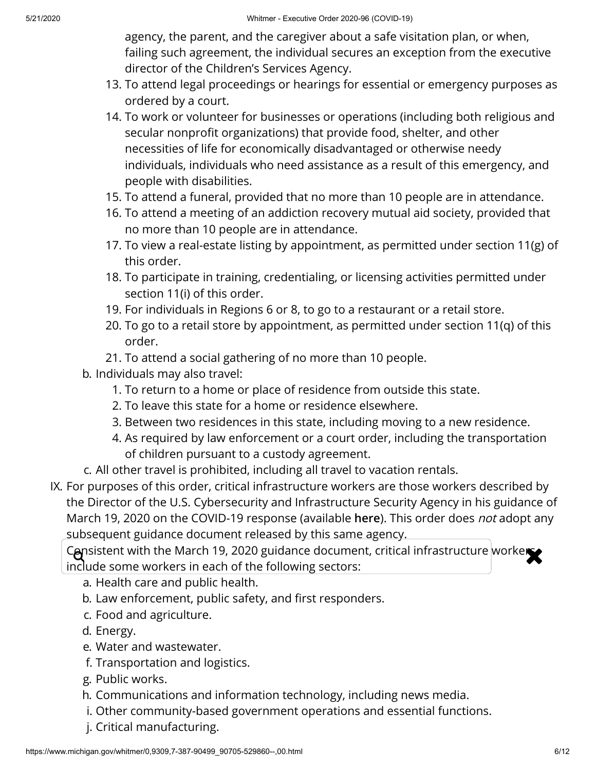agency, the parent, and the caregiver about a safe visitation plan, or when, failing such agreement, the individual secures an exception from the executive director of the Children's Services Agency.

- 13. To attend legal proceedings or hearings for essential or emergency purposes as ordered by a court.
- 14. To work or volunteer for businesses or operations (including both religious and secular nonprofit organizations) that provide food, shelter, and other necessities of life for economically disadvantaged or otherwise needy individuals, individuals who need assistance as a result of this emergency, and people with disabilities.
- 15. To attend a funeral, provided that no more than 10 people are in attendance.
- 16. To attend a meeting of an addiction recovery mutual aid society, provided that no more than 10 people are in attendance.
- 17. To view a real-estate listing by appointment, as permitted under section 11(g) of this order.
- 18. To participate in training, credentialing, or licensing activities permitted under section 11(i) of this order.
- 19. For individuals in Regions 6 or 8, to go to a restaurant or a retail store.
- 20. To go to a retail store by appointment, as permitted under section 11(q) of this order.
- 21. To attend a social gathering of no more than 10 people.
- b. Individuals may also travel:
	- 1. To return to a home or place of residence from outside this state.
	- 2. To leave this state for a home or residence elsewhere.
	- 3. Between two residences in this state, including moving to a new residence.
	- 4. As required by law enforcement or a court order, including the transportation of children pursuant to a custody agreement.
- c. All other travel is prohibited, including all travel to vacation rentals.
- IX. For purposes of this order, critical infrastructure workers are those workers described by the Director of the U.S. Cybersecurity and Infrastructure Security Agency in his guidance of March 19, 2020 on the COVID-19 response (available **[here](https://www.cisa.gov/sites/default/files/publications/CISA-Guidance-on-Essential-Critical-Infrastructure-Workers-1-20-508c.pdf)**). This order does not adopt any subsequent guidance document released by this same agency.

Consistent with the March 19, 2020 guidance document, critical infrastructure workers include some workers in each of the following sectors:

a. Health care and public health.

- b. Law enforcement, public safety, and first responders.
- c. Food and agriculture.
- d. Energy.
- e. Water and wastewater.
- f. Transportation and logistics.
- g. Public works.
- h. Communications and information technology, including news media.
- i. Other community-based government operations and essential functions.
- j. Critical manufacturing.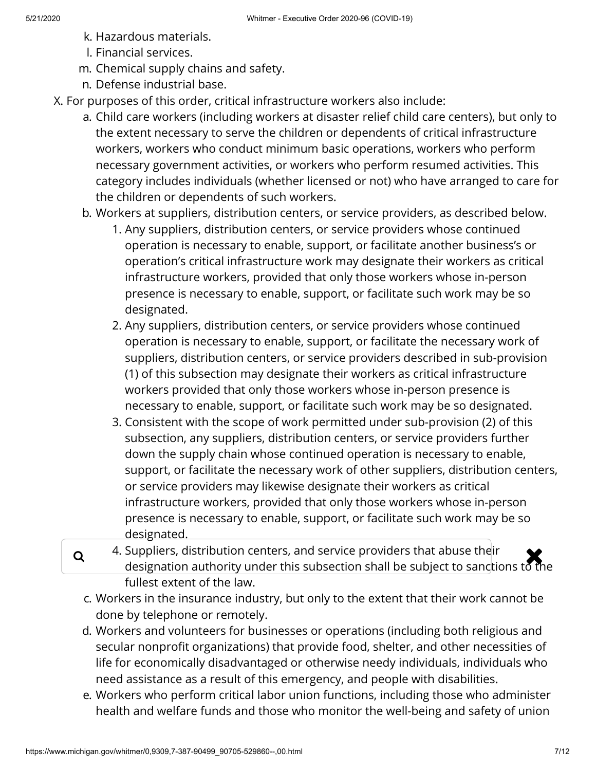- k. Hazardous materials.
- l. Financial services.
- m. Chemical supply chains and safety.
- n. Defense industrial base.
- X. For purposes of this order, critical infrastructure workers also include:
	- a. Child care workers (including workers at disaster relief child care centers), but only to the extent necessary to serve the children or dependents of critical infrastructure workers, workers who conduct minimum basic operations, workers who perform necessary government activities, or workers who perform resumed activities. This category includes individuals (whether licensed or not) who have arranged to care for the children or dependents of such workers.
	- b. Workers at suppliers, distribution centers, or service providers, as described below.
		- 1. Any suppliers, distribution centers, or service providers whose continued operation is necessary to enable, support, or facilitate another business's or operation's critical infrastructure work may designate their workers as critical infrastructure workers, provided that only those workers whose in-person presence is necessary to enable, support, or facilitate such work may be so designated.
		- 2. Any suppliers, distribution centers, or service providers whose continued operation is necessary to enable, support, or facilitate the necessary work of suppliers, distribution centers, or service providers described in sub-provision (1) of this subsection may designate their workers as critical infrastructure workers provided that only those workers whose in-person presence is necessary to enable, support, or facilitate such work may be so designated.
		- 3. Consistent with the scope of work permitted under sub-provision (2) of this subsection, any suppliers, distribution centers, or service providers further down the supply chain whose continued operation is necessary to enable, support, or facilitate the necessary work of other suppliers, distribution centers, or service providers may likewise designate their workers as critical infrastructure workers, provided that only those workers whose in-person presence is necessary to enable, support, or facilitate such work may be so designated.
	- $\alpha$  4. Suppliers, distribution centers, and service providers that abuse their designation authority under this subsection shall be subject to sanctions to the designation authority under this subsection shall be subject to sanctions to the fullest extent of the law.
		- c. Workers in the insurance industry, but only to the extent that their work cannot be done by telephone or remotely.
		- d. Workers and volunteers for businesses or operations (including both religious and secular nonprofit organizations) that provide food, shelter, and other necessities of life for economically disadvantaged or otherwise needy individuals, individuals who need assistance as a result of this emergency, and people with disabilities.
		- e. Workers who perform critical labor union functions, including those who administer health and welfare funds and those who monitor the well-being and safety of union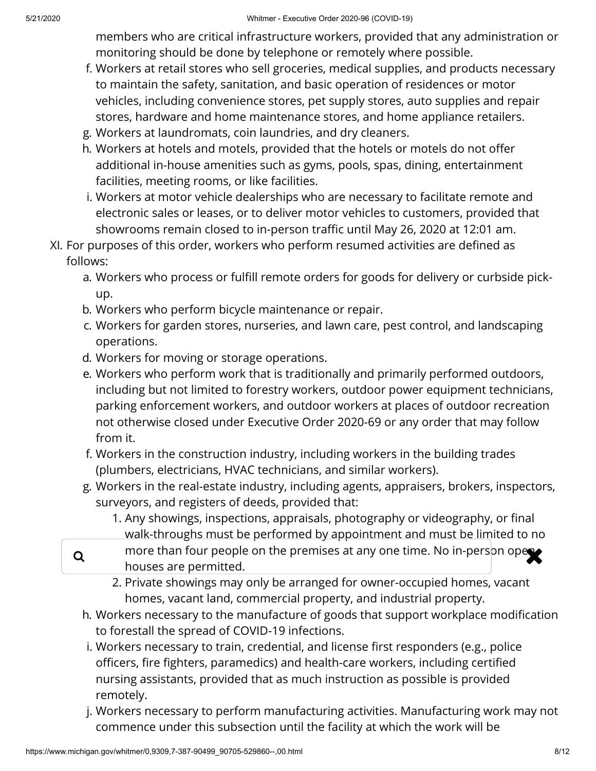members who are critical infrastructure workers, provided that any administration or monitoring should be done by telephone or remotely where possible.

- f. Workers at retail stores who sell groceries, medical supplies, and products necessary to maintain the safety, sanitation, and basic operation of residences or motor vehicles, including convenience stores, pet supply stores, auto supplies and repair stores, hardware and home maintenance stores, and home appliance retailers.
- g. Workers at laundromats, coin laundries, and dry cleaners.
- h. Workers at hotels and motels, provided that the hotels or motels do not offer additional in-house amenities such as gyms, pools, spas, dining, entertainment facilities, meeting rooms, or like facilities.
- i. Workers at motor vehicle dealerships who are necessary to facilitate remote and electronic sales or leases, or to deliver motor vehicles to customers, provided that showrooms remain closed to in-person traffic until May 26, 2020 at 12:01 am.
- XI. For purposes of this order, workers who perform resumed activities are defined as follows:
	- a. Workers who process or fulfill remote orders for goods for delivery or curbside pickup.
	- b. Workers who perform bicycle maintenance or repair.
	- c. Workers for garden stores, nurseries, and lawn care, pest control, and landscaping operations.
	- d. Workers for moving or storage operations.
	- e. Workers who perform work that is traditionally and primarily performed outdoors, including but not limited to forestry workers, outdoor power equipment technicians, parking enforcement workers, and outdoor workers at places of outdoor recreation not otherwise closed under Executive Order 2020-69 or any order that may follow from it.
	- f. Workers in the construction industry, including workers in the building trades (plumbers, electricians, HVAC technicians, and similar workers).
	- g. Workers in the real-estate industry, including agents, appraisers, brokers, inspectors, surveyors, and registers of deeds, provided that:
		- 1. Any showings, inspections, appraisals, photography or videography, or final walk-throughs must be performed by appointment and must be limited to no
	- **Q** more than four people on the premises at any one time. No in-person ope houses are permitted.
		- 2. Private showings may only be arranged for owner-occupied homes, vacant homes, vacant land, commercial property, and industrial property.
		- h. Workers necessary to the manufacture of goods that support workplace modification to forestall the spread of COVID-19 infections.
		- i. Workers necessary to train, credential, and license first responders (e.g., police officers, fire fighters, paramedics) and health-care workers, including certified nursing assistants, provided that as much instruction as possible is provided remotely.
		- j. Workers necessary to perform manufacturing activities. Manufacturing work may not commence under this subsection until the facility at which the work will be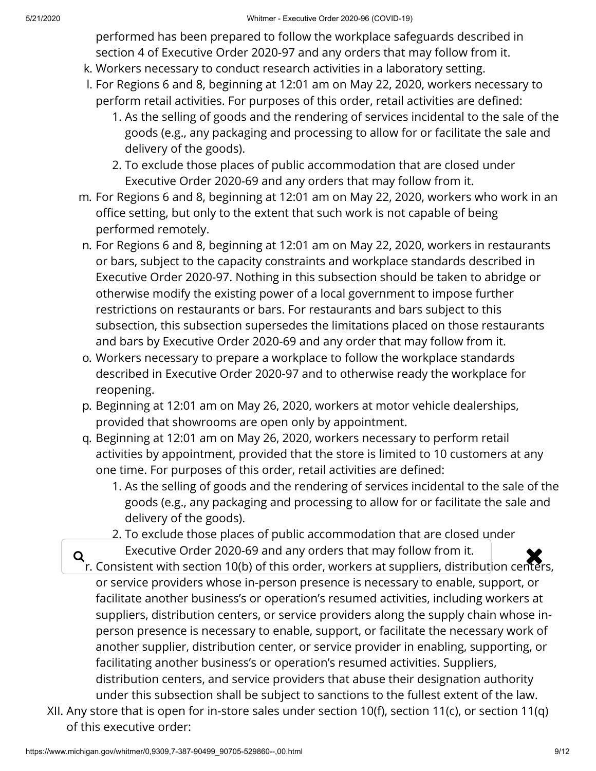performed has been prepared to follow the workplace safeguards described in section 4 of Executive Order 2020-97 and any orders that may follow from it.

- k. Workers necessary to conduct research activities in a laboratory setting.
- l. For Regions 6 and 8, beginning at 12:01 am on May 22, 2020, workers necessary to perform retail activities. For purposes of this order, retail activities are defined:
	- 1. As the selling of goods and the rendering of services incidental to the sale of the goods (e.g., any packaging and processing to allow for or facilitate the sale and delivery of the goods).
	- 2. To exclude those places of public accommodation that are closed under Executive Order 2020-69 and any orders that may follow from it.
- m. For Regions 6 and 8, beginning at 12:01 am on May 22, 2020, workers who work in an office setting, but only to the extent that such work is not capable of being performed remotely.
- n. For Regions 6 and 8, beginning at 12:01 am on May 22, 2020, workers in restaurants or bars, subject to the capacity constraints and workplace standards described in Executive Order 2020-97. Nothing in this subsection should be taken to abridge or otherwise modify the existing power of a local government to impose further restrictions on restaurants or bars. For restaurants and bars subject to this subsection, this subsection supersedes the limitations placed on those restaurants and bars by Executive Order 2020-69 and any order that may follow from it.
- o. Workers necessary to prepare a workplace to follow the workplace standards described in Executive Order 2020-97 and to otherwise ready the workplace for reopening.
- p. Beginning at 12:01 am on May 26, 2020, workers at motor vehicle dealerships, provided that showrooms are open only by appointment.
- q. Beginning at 12:01 am on May 26, 2020, workers necessary to perform retail activities by appointment, provided that the store is limited to 10 customers at any one time. For purposes of this order, retail activities are defined:
	- 1. As the selling of goods and the rendering of services incidental to the sale of the goods (e.g., any packaging and processing to allow for or facilitate the sale and delivery of the goods).
	- 2. To exclude those places of public accommodation that are closed under
- Executive Order 2020-69 and any orders that may follow from it.<br>Fig. Consistent with section 10(b) of this order, workers at suppliers, distribution center r. Consistent with section 10(b) of this order, workers at suppliers, distribution centers, or service providers whose in-person presence is necessary to enable, support, or facilitate another business's or operation's resumed activities, including workers at suppliers, distribution centers, or service providers along the supply chain whose inperson presence is necessary to enable, support, or facilitate the necessary work of another supplier, distribution center, or service provider in enabling, supporting, or facilitating another business's or operation's resumed activities. Suppliers, distribution centers, and service providers that abuse their designation authority under this subsection shall be subject to sanctions to the fullest extent of the law.
- XII. Any store that is open for in-store sales under section 10(f), section 11(c), or section 11(q) of this executive order: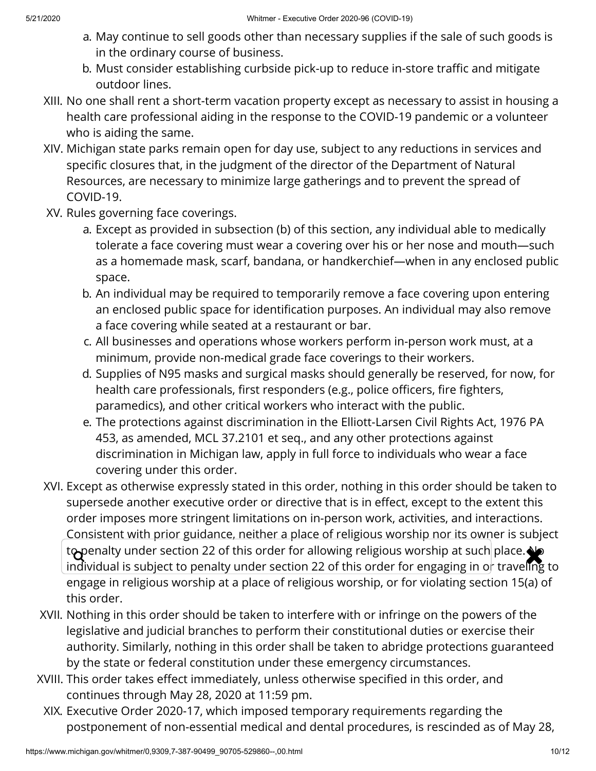- a. May continue to sell goods other than necessary supplies if the sale of such goods is in the ordinary course of business.
- b. Must consider establishing curbside pick-up to reduce in-store traffic and mitigate outdoor lines.
- XIII. No one shall rent a short-term vacation property except as necessary to assist in housing a health care professional aiding in the response to the COVID-19 pandemic or a volunteer who is aiding the same.
- XIV. Michigan state parks remain open for day use, subject to any reductions in services and specific closures that, in the judgment of the director of the Department of Natural Resources, are necessary to minimize large gatherings and to prevent the spread of COVID-19.
- XV. Rules governing face coverings.
	- a. Except as provided in subsection (b) of this section, any individual able to medically tolerate a face covering must wear a covering over his or her nose and mouth—such as a homemade mask, scarf, bandana, or handkerchief—when in any enclosed public space.
	- b. An individual may be required to temporarily remove a face covering upon entering an enclosed public space for identification purposes. An individual may also remove a face covering while seated at a restaurant or bar.
	- c. All businesses and operations whose workers perform in-person work must, at a minimum, provide non-medical grade face coverings to their workers.
	- d. Supplies of N95 masks and surgical masks should generally be reserved, for now, for health care professionals, first responders (e.g., police officers, fire fighters, paramedics), and other critical workers who interact with the public.
	- e. The protections against discrimination in the Elliott-Larsen Civil Rights Act, 1976 PA 453, as amended, MCL 37.2101 et seq., and any other protections against discrimination in Michigan law, apply in full force to individuals who wear a face covering under this order.
- XVI. Except as otherwise expressly stated in this order, nothing in this order should be taken to supersede another executive order or directive that is in effect, except to the extent this order imposes more stringent limitations on in-person work, activities, and interactions. Consistent with prior guidance, neither a place of religious worship nor its owner is subject to penalty under section 22 of this order for allowing religious worship at such place. No<br>individual is subject to penalty under section 22 of this order for engaging in or traveling. individual is subject to penalty under section 22 of this order for engaging in or traveling to engage in religious worship at a place of religious worship, or for violating section 15(a) of this order.
- XVII. Nothing in this order should be taken to interfere with or infringe on the powers of the legislative and judicial branches to perform their constitutional duties or exercise their authority. Similarly, nothing in this order shall be taken to abridge protections guaranteed by the state or federal constitution under these emergency circumstances.
- XVIII. This order takes effect immediately, unless otherwise specified in this order, and continues through May 28, 2020 at 11:59 pm.
	- XIX. Executive Order 2020-17, which imposed temporary requirements regarding the postponement of non-essential medical and dental procedures, is rescinded as of May 28,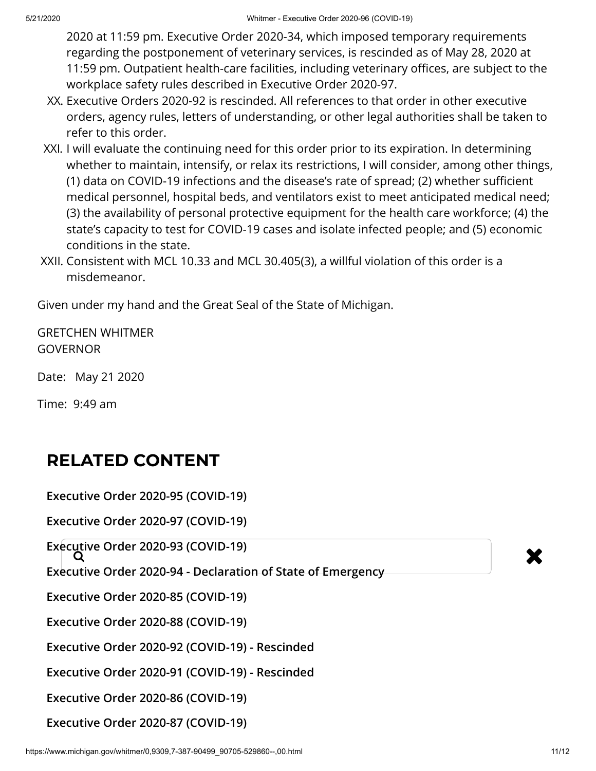2020 at 11:59 pm. Executive Order 2020-34, which imposed temporary requirements regarding the postponement of veterinary services, is rescinded as of May 28, 2020 at 11:59 pm. Outpatient health-care facilities, including veterinary offices, are subject to the workplace safety rules described in Executive Order 2020-97.

- XX. Executive Orders 2020-92 is rescinded. All references to that order in other executive orders, agency rules, letters of understanding, or other legal authorities shall be taken to refer to this order.
- XXI. I will evaluate the continuing need for this order prior to its expiration. In determining whether to maintain, intensify, or relax its restrictions, I will consider, among other things, (1) data on COVID-19 infections and the disease's rate of spread; (2) whether sufficient medical personnel, hospital beds, and ventilators exist to meet anticipated medical need; (3) the availability of personal protective equipment for the health care workforce; (4) the state's capacity to test for COVID-19 cases and isolate infected people; and (5) economic conditions in the state.
- XXII. Consistent with MCL 10.33 and MCL 30.405(3), a willful violation of this order is a misdemeanor.

Given under my hand and the Great Seal of the State of Michigan.

GRETCHEN WHITMER **GOVERNOR** 

Date: May 21 2020

Time: 9:49 am

## **RELATED CONTENT**

**[Executive Order 2020-95 \(COVID-19\)](https://www.michigan.gov/whitmer/0,9309,7-387-90499_90705-529855--,00.html)**

**[Executive Order 2020-97 \(COVID-19\)](https://www.michigan.gov/whitmer/0,9309,7-387-90499_90705-529864--,00.html)**

**[Executive Order 2020-93 \(COVID-19\)](https://www.michigan.gov/whitmer/0,9309,7-387-90499_90705-529730--,00.html)**<br> **Executive Order 2020-93 (COVID-19)** 

**[Executive Order 2020-94 - Declaration of State of Emergency](https://www.michigan.gov/whitmer/0,9309,7-387-90499_90705-529649--,00.html)**

**[Executive Order 2020-85 \(COVID-19\)](https://www.michigan.gov/whitmer/0,9309,7-387-90499_90705-529459--,00.html)**

**[Executive Order 2020-88 \(COVID-19\)](https://www.michigan.gov/whitmer/0,9309,7-387-90499_90705-529456--,00.html)**

**[Executive Order 2020-92 \(COVID-19\) - Rescinded](https://www.michigan.gov/whitmer/0,9309,7-387-90499_90705-529476--,00.html)**

**[Executive Order 2020-91 \(COVID-19\) - Rescinded](https://www.michigan.gov/whitmer/0,9309,7-387-90499_90705-529474--,00.html)**

**[Executive Order 2020-86 \(COVID-19\)](https://www.michigan.gov/whitmer/0,9309,7-387-90499_90705-529458--,00.html)**

**[Executive Order 2020-87 \(COVID-19\)](https://www.michigan.gov/whitmer/0,9309,7-387-90499_90705-529457--,00.html)**